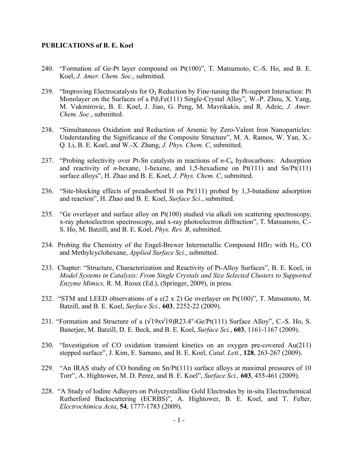#### **PUBLICATIONS of B. E. Koel**

- 240. "Formation of Ge-Pt layer compound on Pt(100)", T. Matsumoto, C.-S. Ho, and B. E. Koel, *J. Amer. Chem. Soc.*, submitted.
- 239. "Improving Electrocatalysts for  $O_2$  Reduction by Fine-tuning the Pt-support Interaction: Pt Monolayer on the Surfaces of a  $Pd_3Fe(111)$  Single-Crystal Alloy", W.-P. Zhou, X. Yang, M. Vukmirovic, B. E. Koel, J. Jiao, G. Peng, M. Mavrikakis, and R. Adzic, *J. Amer. Chem. Soc.*, submitted.
- 238. "Simultaneous Oxidation and Reduction of Arsenic by Zero-Valent Iron Nanoparticles: Understanding the Significance of the Composite Structure", M. A. Ramos, W. Yan, X.- Q. Li, B. E. Koel, and W.-X. Zhang, *J. Phys. Chem. C*, submitted.
- 237. "Probing selectivity over Pt-Sn catalysts in reactions of *n*-C<sub>6</sub> hydrocarbons: Adsorption and reactivity of *n*-hexane, 1-hexene, and 1,5-hexadiene on Pt(111) and Sn/Pt(111) surface alloys", H. Zhao and B. E. Koel, *J. Phys. Chem. C*, submitted.
- 236. "Site-blocking effects of preadsorbed H on Pt(111) probed by 1,3-butadiene adsorption and reaction", H. Zhao and B. E. Koel, *Surface Sci.*, submitted.
- 235. "Ge overlayer and surface alloy on Pt(100) studied via alkali ion scattering spectroscopy, x-ray photoelectron spectroscopy, and x-ray photoelectron diffraction", T. Matsumoto, C.- S. Ho, M. Batzill, and B. E. Koel, *Phys. Rev. B*, submitted.
- 234. Probing the Chemistry of the Engel-Brewer Intermetallic Compound HfIr<sub>3</sub> with H<sub>2</sub>, CO and Methylcyclohexane, *Applied Surface Sci.*, submitted.
- 233. Chapter: "Structure, Characterization and Reactivity of Pt-Alloy Surfaces", B. E. Koel, in *Model Systems in Catalysis: From Single Crystals and Size Selected Clusters to Supported Enzyme Mimics,* R. M. Rioux (Ed.), (Springer, 2009), in press.
- 232. "STM and LEED observations of a c(2 x 2) Ge overlayer on Pt(100)", T. Matsumoto, M. Batzill, and B. E. Koel, *Surface Sci.,* **603**, 2252-22 (2009).
- 231. "Formation and Structure of a (√19x√19)R23.4°-Ge/Pt(111) Surface Alloy", C.-S. Ho, S. Banerjee, M. Batzill, D. E. Beck, and B. E. Koel, *Surface Sci.*, **603**, 1161-1167 (2009).
- 230. "Investigation of CO oxidation transient kinetics on an oxygen pre-covered Au(211) stepped surface", J. Kim, E. Samano, and B. E. Koel, *Catal. Lett.*, **128**, 263-267 (2009).
- 229. "An IRAS study of CO bonding on Sn/Pt(111) surface alloys at maximal pressures of 10 Torr", A. Hightower, M. D. Perez, and B. E. Koel", *Surface Sci.,* **603**, 455-461 (2009).
- 228. "A Study of Iodine Adlayers on Polycrystalline Gold Electrodes by in-situ Electrochemical Rutherford Backscattering (ECRBS)", A. Hightower, B. E. Koel, and T. Felter, *Electrochimica Acta*, **54**, 1777-1783 (2009).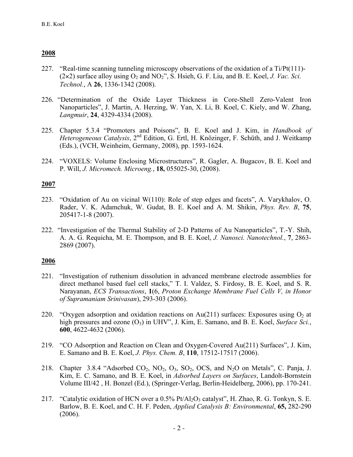- 227. "Real-time scanning tunneling microscopy observations of the oxidation of a Ti/Pt(111)-  $(2\times2)$  surface alloy using  $O_2$  and  $NO_2$ ", S. Hsieh, G. F. Liu, and B. E. Koel, *J. Vac. Sci. Technol.*, A **26**, 1336-1342 (2008).
- 226. "Determination of the Oxide Layer Thickness in Core-Shell Zero-Valent Iron Nanoparticles", J. Martin, A. Herzing, W. Yan, X. Li, B. Koel, C. Kiely, and W. Zhang, *Langmuir*, **24**, 4329-4334 (2008).
- 225. Chapter 5.3.4 "Promoters and Poisons", B. E. Koel and J. Kim, in *Handbook of Heterogeneous Catalysis*, 2nd Edition, G. Ertl, H. Knözinger, F. Schüth, and J. Weitkamp (Eds.), (VCH, Weinheim, Germany, 2008), pp. 1593-1624.
- 224. "VOXELS: Volume Enclosing Microstructures", R. Gagler, A. Bugacov, B. E. Koel and P. Will, *J. Micromech. Microeng.*, **18,** 055025-30, (2008).

# **2007**

- 223. "Oxidation of Au on vicinal W(110): Role of step edges and facets", A. Varykhalov, O. Rader, V. K. Adamchuk, W. Gudat, B. E. Koel and A. M. Shikin, *Phys. Rev. B*, **75**, 205417-1-8 (2007).
- 222. "Investigation of the Thermal Stability of 2-D Patterns of Au Nanoparticles", T.-Y. Shih, A. A. G. Requicha, M. E. Thompson, and B. E. Koel, *J. Nanosci. Nanotechnol.*, **7**, 2863- 2869 (2007).

- 221. "Investigation of ruthenium dissolution in advanced membrane electrode assemblies for direct methanol based fuel cell stacks," T. I. Valdez, S. Firdosy, B. E. Koel, and S. R. Narayanan, *ECS Transactions*, **1**(6, *Proton Exchange Membrane Fuel Cells V, in Honor of Supramaniam Srinivasan*), 293-303 (2006).
- 220. "Oxygen adsorption and oxidation reactions on Au(211) surfaces: Exposures using  $O_2$  at high pressures and ozone (O<sub>3</sub>) in UHV", J. Kim, E. Samano, and B. E. Koel, *Surface Sci.*, **600**, 4622-4632 (2006).
- 219. "CO Adsorption and Reaction on Clean and Oxygen-Covered Au(211) Surfaces", J. Kim, E. Samano and B. E. Koel, *J. Phys. Chem. B*, **110**, 17512-17517 (2006).
- 218. Chapter 3.8.4 "Adsorbed  $CO_2$ ,  $NO_2$ ,  $O_3$ ,  $SO_2$ ,  $OCS$ , and  $N_2O$  on Metals", C. Panja, J. Kim, E. C. Samano, and B. E. Koel, in *Adsorbed Layers on Surfaces*, Landolt-Bornstein Volume III/42 , H. Bonzel (Ed.), (Springer-Verlag, Berlin-Heidelberg, 2006), pp. 170-241.
- 217. "Catalytic oxidation of HCN over a 0.5% Pt/Al<sub>2</sub>O<sub>3</sub> catalyst", H. Zhao, R. G. Tonkyn, S. E. Barlow, B. E. Koel, and C. H. F. Peden, *Applied Catalysis B: Environmental*, **65,** 282-290 (2006).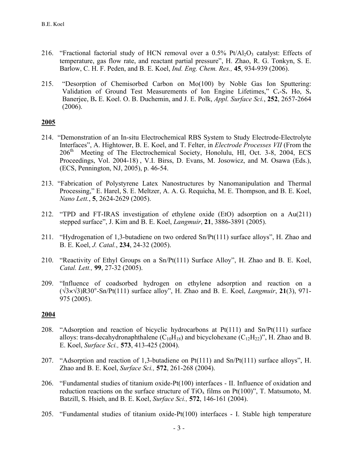- 216. "Fractional factorial study of HCN removal over a  $0.5\%$  Pt/Al<sub>2</sub>O<sub>3</sub> catalyst: Effects of temperature, gas flow rate, and reactant partial pressure", H. Zhao, R. G. Tonkyn, S. E. Barlow, C. H. F. Peden, and B. E. Koel, *Ind. Eng. Chem. Res.,* **45**, 934-939 (2006).
- 215. "Desorption of Chemisorbed Carbon on Mo(100) by Noble Gas Ion Sputtering: Validation of Ground Test Measurements of Ion Engine Lifetimes," C**.**-S**.** Ho, S**.** Banerjee, B**.** E. Koel. O. B. Duchemin, and J. E. Polk, *Appl. Surface Sci.*, **252**, 2657-2664  $(2006)$ .

- 214. "Demonstration of an In-situ Electrochemical RBS System to Study Electrode-Electrolyte Interfaces", A. Hightower, B. E. Koel, and T. Felter, in *Electrode Processes VII* (From the  $206<sup>th</sup>$  Meeting of The Electrochemical Society, Honolulu, HI, Oct. 3-8, 2004, ECS Proceedings, Vol. 2004-18) , V.I. Birss, D. Evans, M. Josowicz, and M. Osawa (Eds.), (ECS, Pennington, NJ, 2005), p. 46-54.
- 213. "Fabrication of Polystyrene Latex Nanostructures by Nanomanipulation and Thermal Processing," E. Harel, S. E. Meltzer, A. A. G. Requicha, M. E. Thompson, and B. E. Koel, *Nano Lett.*, **5**, 2624-2629 (2005).
- 212. "TPD and FT-IRAS investigation of ethylene oxide (EtO) adsorption on a Au(211) stepped surface", J. Kim and B. E. Koel, *Langmuir*, **21**, 3886-3891 (2005).
- 211. "Hydrogenation of 1,3-butadiene on two ordered Sn/Pt(111) surface alloys", H. Zhao and B. E. Koel, *J. Catal.*, **234**, 24-32 (2005).
- 210. "Reactivity of Ethyl Groups on a Sn/Pt(111) Surface Alloy", H. Zhao and B. E. Koel, *Catal. Lett.,* **99**, 27-32 (2005).
- 209. "Influence of coadsorbed hydrogen on ethylene adsorption and reaction on a (√3×√3)R30°-Sn/Pt(111) surface alloy", H. Zhao and B. E. Koel, *Langmuir*, **21**(3), 971- 975 (2005).

- 208. "Adsorption and reaction of bicyclic hydrocarbons at Pt(111) and Sn/Pt(111) surface alloys: trans-decahydronaphthalene  $(C_{10}H_{18})$  and bicyclohexane  $(C_{12}H_{22})$ ", H. Zhao and B. E. Koel, *Surface Sci.,* **573**, 413-425 (2004).
- 207. "Adsorption and reaction of 1,3-butadiene on Pt(111) and Sn/Pt(111) surface alloys", H. Zhao and B. E. Koel, *Surface Sci.,* **572**, 261-268 (2004).
- 206. "Fundamental studies of titanium oxide-Pt(100) interfaces II. Influence of oxidation and reduction reactions on the surface structure of  $TiO<sub>x</sub>$  films on Pt(100)", T. Matsumoto, M. Batzill, S. Hsieh, and B. E. Koel, *Surface Sci.,* **572**, 146-161 (2004).
- 205. "Fundamental studies of titanium oxide-Pt(100) interfaces I. Stable high temperature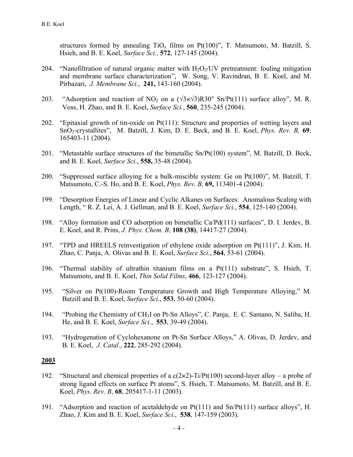structures formed by annealing  $TiO<sub>x</sub>$  films on Pt(100)", T. Matsumoto, M. Batzill, S. Hsieh, and B. E. Koel, *Surface Sci.,* **572**, 127-145 (2004).

- 204. "Nanofiltration of natural organic matter with  $H_2O_2$ /UV pretreatment: fouling mitigation and membrane surface characterization", W. Song, V. Ravindran, B. E. Koel, and M. Pirbazari, *J. Membrane Sci.*, **241,** 143-160 (2004).
- 203. "Adsorption and reaction of NO<sub>2</sub> on a  $(\sqrt{3} \times \sqrt{3})R30^\circ$  Sn/Pt(111) surface alloy", M. R. Voss, H. Zhao, and B. E. Koel, *Surface Sci.*, **560**, 235-245 (2004).
- 202. "Epitaxial growth of tin-oxide on Pt(111): Structure and properties of wetting layers and SnO2-crystallites", M. Batzill, J. Kim, D. E. Beck, and B. E. Koel, *Phys. Rev. B,* **69**, 165403-11 (2004).
- 201. "Metastable surface structures of the bimetallic Sn/Pt(100) system", M. Batzill, D. Beck, and B. E. Koel, *Surface Sci*., **558,** 35-48 (2004).
- 200. "Suppressed surface alloying for a bulk-miscible system: Ge on Pt(100)", M. Batzill, T. Matsumoto, C.-S. Ho, and B. E. Koel, *Phys. Rev. B,* **69,** 113401-4 (2004).
- 199. "Desorption Energies of Linear and Cyclic Alkanes on Surfaces: Anomalous Scaling with Length, " R. Z. Lei, A. J. Gellman, and B. E. Koel, *Surface Sci.*, **554**, 125-140 (2004).
- 198. "Alloy formation and CO adsorption on bimetallic Ca/Pd(111) surfaces", D. I. Jerdev, B. E. Koel, and R. Prins, *J. Phys. Chem. B*, **108 (38)**, 14417-27 (2004).
- 197. "TPD and HREELS reinvestigation of ethylene oxide adsorption on Pt(111)", J. Kim, H. Zhao, C. Panja, A. Olivas and B. E. Koel, *Surface Sci.*, **564**, 53-61 (2004).
- 196. "Thermal stability of ultrathin titanium films on a Pt(111) substrate", S. Hsieh, T. Matsumoto, and B. E. Koel, *Thin Solid Films*, **466**, 123-127 (2004).
- 195. "Silver on Pt(100)-Room Temperature Growth and High Temperature Alloying," M. Batzill and B. E. Koel, *Surface Sci.*, **553**, 50-60 (2004).
- 194. "Probing the Chemistry of CH3I on Pt-Sn Alloys", C. Panja, E. C. Samano, N. Saliba, H. He, and B. E. Koel, *Surface Sci.*, **553**, 39-49 (2004).
- 193. "Hydrogenation of Cyclohexanone on Pt-Sn Surface Alloys," A. Olivas, D. Jerdev, and B. E. Koel, *J. Catal*., **222**, 285-292 (2004).

- 192. "Structural and chemical properties of a  $c(2\times2)$ -Ti/Pt(100) second-layer alloy a probe of strong ligand effects on surface Pt atoms", S. Hsieh, T. Matsumoto, M. Batzill, and B. E. Koel, *Phys. Rev. B*, **68**, 205417-1-11 (2003).
- 191. "Adsorption and reaction of acetaldehyde on Pt(111) and Sn/Pt(111) surface alloys", H. Zhao, J. Kim and B. E. Koel, *Surface Sci.*, **538**, 147-159 (2003).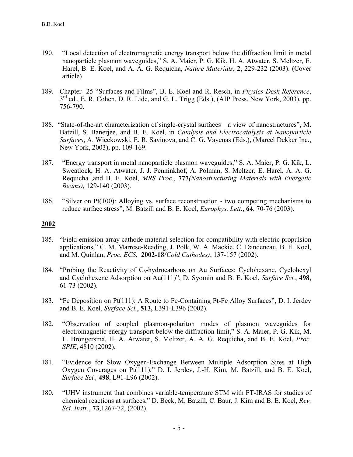- 190. "Local detection of electromagnetic energy transport below the diffraction limit in metal nanoparticle plasmon waveguides," S. A. Maier, P. G. Kik, H. A. Atwater, S. Meltzer, E. Harel, B. E. Koel, and A. A. G. Requicha, *Nature Materials*, **2**, 229-232 (2003). (Cover article)
- 189. Chapter 25 "Surfaces and Films", B. E. Koel and R. Resch, in *Physics Desk Reference*,  $3<sup>rd</sup>$  ed., E. R. Cohen, D. R. Lide, and G. L. Trigg (Eds.), (AIP Press, New York, 2003), pp. 756-790.
- 188. "State-of-the-art characterization of single-crystal surfaces—a view of nanostructures", M. Batzill, S. Banerjee, and B. E. Koel, in *Catalysis and Electrocatalysis at Nanoparticle Surfaces*, A. Wieckowski, E. R. Savinova, and C. G. Vayenas (Eds.), (Marcel Dekker Inc., New York, 2003), pp. 109-169.
- 187. "Energy transport in metal nanoparticle plasmon waveguides," S. A. Maier, P. G. Kik, L. Sweatlock, H. A. Atwater, J. J. Penninkhof, A. Polman, S. Meltzer, E. Harel, A. A. G. Requicha ,and B. E. Koel, *MRS Proc.,* **777***(Nanostructuring Materials with Energetic Beams),* 129-140 (2003)*.*
- 186. "Silver on Pt(100): Alloying vs. surface reconstruction two competing mechanisms to reduce surface stress", M. Batzill and B. E. Koel, *Europhys. Lett.*, **64**, 70-76 (2003).

- 185. "Field emission array cathode material selection for compatibility with electric propulsion applications," C. M. Marrese-Reading, J. Polk, W. A. Mackie, C. Dandeneau, B. E. Koel, and M. Quinlan, *Proc. ECS*, **2002-18***(Cold Cathodes)*, 137-157 (2002).
- 184. "Probing the Reactivity of  $C_6$ -hydrocarbons on Au Surfaces: Cyclohexane, Cyclohexyl and Cyclohexene Adsorption on Au(111)", D. Syomin and B. E. Koel, *Surface Sci.*, **498**, 61-73 (2002).
- 183. "Fe Deposition on Pt(111): A Route to Fe-Containing Pt-Fe Alloy Surfaces", D. I. Jerdev and B. E. Koel, *Surface Sci.*, **513,** L391-L396 (2002).
- 182. "Observation of coupled plasmon-polariton modes of plasmon waveguides for electromagnetic energy transport below the diffraction limit," S. A. Maier, P. G. Kik, M. L. Brongersma, H. A. Atwater, S. Meltzer, A. A. G. Requicha, and B. E. Koel, *Proc. SPIE*, 4810 (2002).
- 181. "Evidence for Slow Oxygen-Exchange Between Multiple Adsorption Sites at High Oxygen Coverages on Pt(111)," D. I. Jerdev, J.-H. Kim, M. Batzill, and B. E. Koel, *Surface Sci.,* **498**, L91-L96 (2002).
- 180. "UHV instrument that combines variable-temperature STM with FT-IRAS for studies of chemical reactions at surfaces," D. Beck, M. Batzill, C. Baur, J. Kim and B. E. Koel, *Rev. Sci. Instr.*, **73**,1267-72, (2002).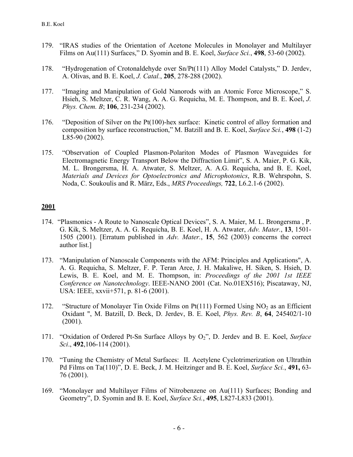- 179. "IRAS studies of the Orientation of Acetone Molecules in Monolayer and Multilayer Films on Au(111) Surfaces," D. Syomin and B. E. Koel, *Surface Sci.*, **498**, 53-60 (2002).
- 178. "Hydrogenation of Crotonaldehyde over Sn/Pt(111) Alloy Model Catalysts," D. Jerdev, A. Olivas, and B. E. Koel, *J. Catal.*, **205**, 278-288 (2002).
- 177. "Imaging and Manipulation of Gold Nanorods with an Atomic Force Microscope," S. Hsieh, S. Meltzer, C. R. Wang, A. A. G. Requicha, M. E. Thompson, and B. E. Koel, *J. Phys. Chem. B*; **106**, 231-234 (2002).
- 176. "Deposition of Silver on the Pt(100)-hex surface: Kinetic control of alloy formation and composition by surface reconstruction," M. Batzill and B. E. Koel, *Surface Sci.*, **498** (1-2) L85-90 (2002).
- 175. "Observation of Coupled Plasmon-Polariton Modes of Plasmon Waveguides for Electromagnetic Energy Transport Below the Diffraction Limit", S. A. Maier, P. G. Kik, M. L. Brongersma, H. A. Atwater, S. Meltzer, A. A.G. Requicha, and B. E. Koel, *Materials and Devices for Optoelectronics and Microphotonics*, R.B. Wehrspohn, S. Noda, C. Soukoulis and R. März, Eds., *MRS Proceedings,* **722**, L6.2.1-6 (2002).

- 174. "Plasmonics A Route to Nanoscale Optical Devices", S. A. Maier, M. L. Brongersma , P. G. Kik, S. Meltzer, A. A. G. Requicha, B. E. Koel, H. A. Atwater, *Adv. Mater.*, **13**, 1501- 1505 (2001). [Erratum published in *Adv. Mater.*, **15**, 562 (2003) concerns the correct author list.]
- 173. "Manipulation of Nanoscale Components with the AFM: Principles and Applications", A. A. G. Requicha, S. Meltzer, F. P. Teran Arce, J. H. Makaliwe, H. Siken, S. Hsieh, D. Lewis, B. E. Koel, and M. E. Thompson, in: *Proceedings of the 2001 1st IEEE Conference on Nanotechnology*. IEEE-NANO 2001 (Cat. No.01EX516); Piscataway, NJ, USA: IEEE, xxvii+571, p. 81-6 (2001).
- 172. "Structure of Monolayer Tin Oxide Films on  $Pt(111)$  Formed Using NO<sub>2</sub> as an Efficient Oxidant ", M. Batzill, D. Beck, D. Jerdev, B. E. Koel, *Phys. Rev. B*, **64**, 245402/1-10 (2001).
- 171. "Oxidation of Ordered Pt-Sn Surface Alloys by O<sub>2</sub>", D. Jerdev and B. E. Koel, *Surface Sci*., **492**,106-114 (2001).
- 170. "Tuning the Chemistry of Metal Surfaces: II. Acetylene Cyclotrimerization on Ultrathin Pd Films on Ta(110)", D. E. Beck, J. M. Heitzinger and B. E. Koel, *Surface Sci.*, **491,** 63- 76 (2001).
- 169. "Monolayer and Multilayer Films of Nitrobenzene on Au(111) Surfaces; Bonding and Geometry", D. Syomin and B. E. Koel, *Surface Sci.*, **495**, L827-L833 (2001).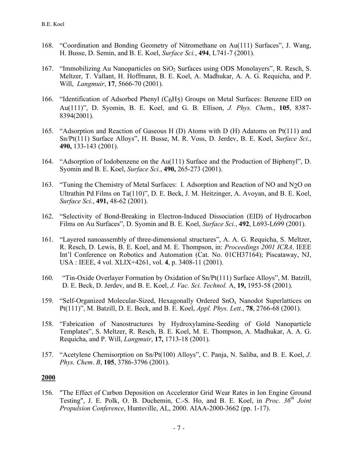- 168. "Coordination and Bonding Geometry of Nitromethane on Au(111) Surfaces", J. Wang, H. Busse, D. Semin, and B. E. Koel, *Surface Sci.*, **494**, L741-7 (2001).
- 167. "Immobilizing Au Nanoparticles on SiO<sub>2</sub> Surfaces using ODS Monolayers", R. Resch, S. Meltzer, T. Vallant, H. Hoffmann, B. E. Koel, A. Madhukar, A. A. G. Requicha, and P. Will, *Langmuir*, **17**, 5666-70 (2001).
- 166. "Identification of Adsorbed Phenyl (C6H5) Groups on Metal Surfaces: Benzene EID on Au(111)", D. Syomin, B. E. Koel, and G. B. Ellison, *J. Phys. Che*m., **105**, 8387- 8394(2001).
- 165. "Adsorption and Reaction of Gaseous H (D) Atoms with D (H) Adatoms on Pt(111) and Sn/Pt(111) Surface Alloys", H. Busse, M. R. Voss, D. Jerdev, B. E. Koel, *Surface Sci.*, **490,** 133-143 (2001).
- 164. "Adsorption of Iodobenzene on the Au(111) Surface and the Production of Biphenyl", D. Syomin and B. E. Koel, *Surface Sci.*, **490,** 265-273 (2001).
- 163. "Tuning the Chemistry of Metal Surfaces: I. Adsorption and Reaction of NO and N2O on Ultrathin Pd Films on Ta(110)", D. E. Beck, J. M. Heitzinger, A. Avoyan, and B. E. Koel, *Surface Sci.*, **491,** 48-62 (2001).
- 162. "Selectivity of Bond-Breaking in Electron-Induced Dissociation (EID) of Hydrocarbon Films on Au Surfaces", D. Syomin and B. E. Koel, *Surface Sci.*, **492**, L693-L699 (2001).
- 161. "Layered nanoassembly of three-dimensional structures", A. A. G. Requicha, S. Meltzer, R. Resch, D. Lewis, B. E. Koel, and M. E. Thompson, in: *Proceedings 2001 ICRA*. IEEE Int'l Conference on Robotics and Automation (Cat. No. 01CH37164); Piscataway, NJ, USA : IEEE, 4 vol. XLIX+4261, vol. **4**, p. 3408-11 (2001).
- 160. "Tin-Oxide Overlayer Formation by Oxidation of Sn/Pt(111) Surface Alloys", M. Batzill, D. E. Beck, D. Jerdev, and B. E. Koel, *J. Vac. Sci. Technol.* A, **19,** 1953-58 (2001).
- 159. "Self-Organized Molecular-Sized, Hexagonally Ordered  $SnO<sub>x</sub>$  Nanodot Superlattices on Pt(111)", M. Batzill, D. E. Beck, and B. E. Koel, *Appl. Phys. Lett.*, **78**, 2766-68 (2001).
- 158. "Fabrication of Nanostructures by Hydroxylamine-Seeding of Gold Nanoparticle Templates", S. Meltzer, R. Resch, B. E. Koel, M. E. Thompson, A. Madhukar, A. A. G. Requicha, and P. Will, *Langmuir*, **17,** 1713-18 (2001).
- 157. "Acetylene Chemisorption on Sn/Pt(100) Alloys", C. Panja, N. Saliba, and B. E. Koel, *J. Phys. Chem*. *B*, **105**, 3786-3796 (2001).

156. "The Effect of Carbon Deposition on Accelerator Grid Wear Rates in Ion Engine Ground Testing", J. E. Polk, O. B. Duchemin, C.-S. Ho, and B. E. Koel, in *Proc. 36th Joint Propulsion Conference*, Huntsville, AL, 2000. AIAA-2000-3662 (pp. 1-17).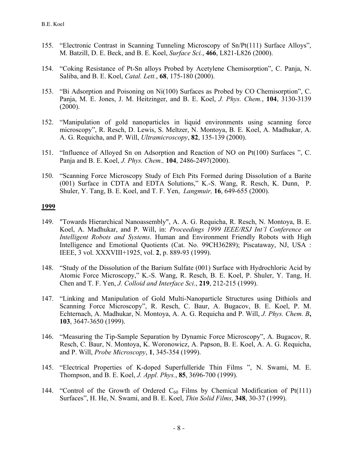- 155. "Electronic Contrast in Scanning Tunneling Microscopy of Sn/Pt(111) Surface Alloys", M. Batzill, D. E. Beck, and B. E. Koel, *Surface Sci.*, **466**, L821-L826 (2000).
- 154. "Coking Resistance of Pt-Sn alloys Probed by Acetylene Chemisorption", C. Panja, N. Saliba, and B. E. Koel, *Catal. Lett.*, **68**, 175-180 (2000).
- 153. "Bi Adsorption and Poisoning on Ni(100) Surfaces as Probed by CO Chemisorption", C. Panja, M. E. Jones, J. M. Heitzinger, and B. E. Koel, *J. Phys. Chem.*, **104**, 3130-3139  $(2000)$ .
- 152. "Manipulation of gold nanoparticles in liquid environments using scanning force microscopy", R. Resch, D. Lewis, S. Meltzer, N. Montoya, B. E. Koel, A. Madhukar, A. A. G. Requicha, and P. Will, *Ultramicroscopy*, **82**, 135-139 (2000).
- 151. "Influence of Alloyed Sn on Adsorption and Reaction of NO on Pt(100) Surfaces ", C. Panja and B. E. Koel, *J. Phys. Chem.,* **104**, 2486-2497(2000).
- 150. "Scanning Force Microscopy Study of Etch Pits Formed during Dissolution of a Barite (001) Surface in CDTA and EDTA Solutions," K.-S. Wang, R. Resch, K. Dunn, P. Shuler, Y. Tang, B. E. Koel, and T. F. Yen, *Langmuir,* **16**, 649-655 (2000).

- 149. "Towards Hierarchical Nanoassembly", A. A. G. Requicha, R. Resch, N. Montoya, B. E. Koel, A. Madhukar, and P. Will, in: *Proceedings 1999 IEEE/RSJ Int'l Conference on Intelligent Robots and Systems*. Human and Environment Friendly Robots with High Intelligence and Emotional Quotients (Cat. No. 99CH36289); Piscataway, NJ, USA : IEEE, 3 vol. XXXVIII+1925, vol. **2**, p. 889-93 (1999).
- 148. "Study of the Dissolution of the Barium Sulfate (001) Surface with Hydrochloric Acid by Atomic Force Microscopy," K.-S. Wang, R. Resch, B. E. Koel, P. Shuler, Y. Tang, H. Chen and T. F. Yen, *J. Colloid and Interface Sci.*, **219**, 212-215 (1999).
- 147. "Linking and Manipulation of Gold Multi-Nanoparticle Structures using Dithiols and Scanning Force Microscopy", R. Resch, C. Baur, A. Bugacov, B. E. Koel, P. M. Echternach, A. Madhukar, N. Montoya, A. A. G. Requicha and P. Will, *J. Phys. Chem. B***, 103**, 3647-3650 (1999).
- 146. "Measuring the Tip-Sample Separation by Dynamic Force Microscopy", A. Bugacov, R. Resch, C. Baur, N. Montoya, K. Woronowicz, A. Papson, B. E. Koel, A. A. G. Requicha, and P. Will, *Probe Microscopy*, **1**, 345-354 (1999).
- 145. "Electrical Properties of K-doped Superfulleride Thin Films ", N. Swami, M. E. Thompson, and B. E. Koel, *J. Appl. Phys.*, **85**, 3696-700 (1999).
- 144. "Control of the Growth of Ordered  $C_{60}$  Films by Chemical Modification of Pt(111) Surfaces", H. He, N. Swami, and B. E. Koel, *Thin Solid Films*, **348**, 30-37 (1999).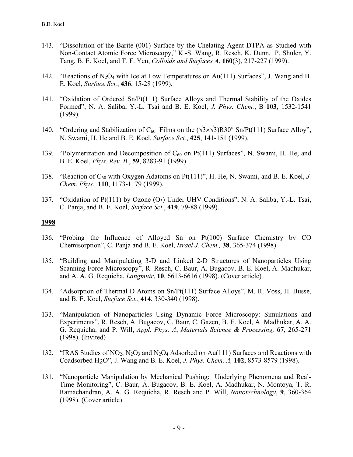- 143. "Dissolution of the Barite (001) Surface by the Chelating Agent DTPA as Studied with Non-Contact Atomic Force Microscopy," K.-S. Wang, R. Resch, K. Dunn, P. Shuler, Y. Tang, B. E. Koel, and T. F. Yen, *Colloids and Surfaces A*, **160**(3), 217-227 (1999).
- 142. "Reactions of  $N_2O_4$  with Ice at Low Temperatures on Au(111) Surfaces", J. Wang and B. E. Koel, *Surface Sci.*, **436**, 15-28 (1999).
- 141. "Oxidation of Ordered Sn/Pt(111) Surface Alloys and Thermal Stability of the Oxides Formed", N. A. Saliba, Y.-L. Tsai and B. E. Koel, *J. Phys. Chem.*, B **103**, 1532-1541 (1999).
- 140. "Ordering and Stabilization of C<sub>60</sub> Films on the  $(\sqrt{3} \times \sqrt{3})R30^\circ$  Sn/Pt(111) Surface Alloy", N. Swami, H. He and B. E. Koel, *Surface Sci.*, **425**, 141-151 (1999).
- 139. "Polymerization and Decomposition of  $C_{60}$  on Pt(111) Surfaces", N. Swami, H. He, and B. E. Koel, *Phys. Rev. B* , **59**, 8283-91 (1999).
- 138. "Reaction of C<sub>60</sub> with Oxygen Adatoms on Pt(111)", H. He, N. Swami, and B. E. Koel, *J. Chem. Phys.,* **110**, 1173-1179 (1999).
- 137. "Oxidation of Pt(111) by Ozone (O3) Under UHV Conditions", N. A. Saliba, Y.-L. Tsai, C. Panja, and B. E. Koel, *Surface Sci.*, **419**, 79-88 (1999).

- 136. "Probing the Influence of Alloyed Sn on Pt(100) Surface Chemistry by CO Chemisorption", C. Panja and B. E. Koel, *Israel J. Chem.,* **38**, 365-374 (1998).
- 135. "Building and Manipulating 3-D and Linked 2-D Structures of Nanoparticles Using Scanning Force Microscopy", R. Resch, C. Baur, A. Bugacov, B. E. Koel, A. Madhukar, and A. A. G. Requicha, *Langmuir*, **10**, 6613-6616 (1998). (Cover article)
- 134. "Adsorption of Thermal D Atoms on Sn/Pt(111) Surface Alloys", M. R. Voss, H. Busse, and B. E. Koel, *Surface Sci.*, **414**, 330-340 (1998).
- 133. "Manipulation of Nanoparticles Using Dynamic Force Microscopy: Simulations and Experiments", R. Resch, A. Bugacov, C. Baur, C. Gazen, B. E. Koel, A. Madhukar, A. A. G. Requicha, and P. Will, *Appl. Phys. A*, *Materials Science & Processing,* **67**, 265-271 (1998). (Invited)
- 132. "IRAS Studies of NO<sub>2</sub>, N<sub>2</sub>O<sub>3</sub> and N<sub>2</sub>O<sub>4</sub> Adsorbed on Au(111) Surfaces and Reactions with Coadsorbed H2O", J. Wang and B. E. Koel, *J. Phys. Chem. A,* **102**, 8573-8579 (1998).
- 131. "Nanoparticle Manipulation by Mechanical Pushing: Underlying Phenomena and Real-Time Monitoring", C. Baur, A. Bugacov, B. E. Koel, A. Madhukar, N. Montoya, T. R. Ramachandran, A. A. G. Requicha, R. Resch and P. Will, *Nanotechnology*, **9**, 360-364 (1998). (Cover article)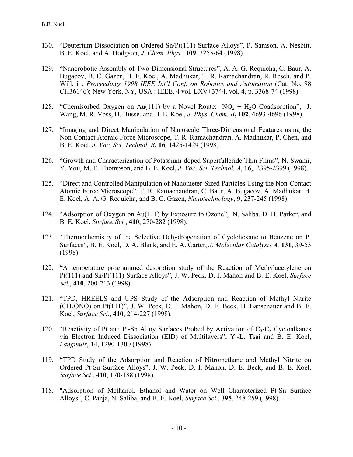- 130. "Deuterium Dissociation on Ordered Sn/Pt(111) Surface Alloys", P. Samson, A. Nesbitt, B. E. Koel, and A. Hodgson, *J. Chem. Phys.*, **109**, 3255-64 (1998).
- 129. "Nanorobotic Assembly of Two-Dimensional Structures", A. A. G. Requicha, C. Baur, A. Bugacov, B. C. Gazen, B. E. Koel, A. Madhukar, T. R. Ramachandran, R. Resch, and P. Will, in: *Proceedings 1998 IEEE Int'l Conf. on Robotics and Automation* (Cat. No. 98 CH36146); New York, NY, USA : IEEE, 4 vol. LXV+3744, vol. **4**, p. 3368-74 (1998).
- 128. "Chemisorbed Oxygen on Au(111) by a Novel Route:  $NO<sub>2</sub> + H<sub>2</sub>O$  Coadsorption", J. Wang, M. R. Voss, H. Busse, and B. E. Koel, *J. Phys. Chem. B***, 102**, 4693-4696 (1998).
- 127. "Imaging and Direct Manipulation of Nanoscale Three-Dimensional Features using the Non-Contact Atomic Force Microscope, T. R. Ramachandran, A. Madhukar, P. Chen, and B. E. Koel, *J. Vac. Sci. Technol. B***, 16***,* 1425-1429 (1998)*.*
- 126. "Growth and Characterization of Potassium-doped Superfulleride Thin Films", N. Swami, Y. You, M. E. Thompson, and B. E. Koel, *J. Vac. Sci. Technol. A*, **16**,. 2395-2399 (1998).
- 125. "Direct and Controlled Manipulation of Nanometer-Sized Particles Using the Non-Contact Atomic Force Microscope", T. R. Ramachandran, C. Baur, A. Bugacov, A. Madhukar, B. E. Koel, A. A. G. Requicha, and B. C. Gazen, *Nanotechnology*, **9**, 237-245 (1998).
- 124. "Adsorption of Oxygen on Au(111) by Exposure to Ozone", N. Saliba, D. H. Parker, and B. E. Koel, *Surface Sci.*, **410**, 270-282 (1998).
- 123. "Thermochemistry of the Selective Dehydrogenation of Cyclohexane to Benzene on Pt Surfaces", B. E. Koel, D. A. Blank, and E. A. Carter, *J. Molecular Catalysis A,* **131**, 39-53 (1998).
- 122. "A temperature programmed desorption study of the Reaction of Methylacetylene on Pt(111) and Sn/Pt(111) Surface Alloys", J. W. Peck, D. I. Mahon and B. E. Koel, *Surface Sci.*, **410**, 200-213 (1998).
- 121. "TPD, HREELS and UPS Study of the Adsorption and Reaction of Methyl Nitrite (CH3ONO) on Pt(111)", J. W. Peck, D. I. Mahon, D. E. Beck, B. Bansenauer and B. E. Koel, *Surface Sci.*, **410**, 214-227 (1998).
- 120. "Reactivity of Pt and Pt-Sn Alloy Surfaces Probed by Activation of  $C_5-C_8$  Cycloalkanes via Electron Induced Dissociation (EID) of Multilayers", Y.-L. Tsai and B. E. Koel, *Langmuir*, **14**, 1290-1300 (1998).
- 119. "TPD Study of the Adsorption and Reaction of Nitromethane and Methyl Nitrite on Ordered Pt-Sn Surface Alloys", J. W. Peck, D. I. Mahon, D. E. Beck, and B. E. Koel, *Surface Sci.*, **410**, 170-188 (1998).
- 118. "Adsorption of Methanol, Ethanol and Water on Well Characterized Pt-Sn Surface Alloys", C. Panja, N. Saliba, and B. E. Koel, *Surface Sci.*, **395**, 248-259 (1998).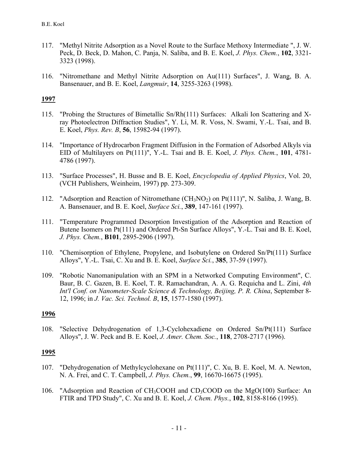- 117. "Methyl Nitrite Adsorption as a Novel Route to the Surface Methoxy Intermediate ", J. W. Peck, D. Beck, D. Mahon, C. Panja, N. Saliba, and B. E. Koel, *J. Phys. Chem.*, **102**, 3321- 3323 (1998).
- 116. "Nitromethane and Methyl Nitrite Adsorption on Au(111) Surfaces", J. Wang, B. A. Bansenauer, and B. E. Koel, *Langmuir*, **14**, 3255-3263 (1998).

- 115. "Probing the Structures of Bimetallic Sn/Rh(111) Surfaces: Alkali Ion Scattering and Xray Photoelectron Diffraction Studies", Y. Li, M. R. Voss, N. Swami, Y.-L. Tsai, and B. E. Koel, *Phys. Rev. B*, **56**, 15982-94 (1997).
- 114. "Importance of Hydrocarbon Fragment Diffusion in the Formation of Adsorbed Alkyls via EID of Multilayers on Pt(111)", Y.-L. Tsai and B. E. Koel, *J. Phys. Chem.*, **101**, 4781- 4786 (1997).
- 113. "Surface Processes", H. Busse and B. E. Koel, *Encyclopedia of Applied Physics*, Vol. 20, (VCH Publishers, Weinheim, 1997) pp. 273-309.
- 112. "Adsorption and Reaction of Nitromethane (CH<sub>3</sub>NO<sub>2</sub>) on Pt(111)", N. Saliba, J. Wang, B. A. Bansenauer, and B. E. Koel, *Surface Sci.*, **389**, 147-161 (1997).
- 111. "Temperature Programmed Desorption Investigation of the Adsorption and Reaction of Butene Isomers on Pt(111) and Ordered Pt-Sn Surface Alloys", Y.-L. Tsai and B. E. Koel, *J. Phys. Chem.*, **B101**, 2895-2906 (1997).
- 110. "Chemisorption of Ethylene, Propylene, and Isobutylene on Ordered Sn/Pt(111) Surface Alloys", Y.-L. Tsai, C. Xu and B. E. Koel, *Surface Sci.*, **385**, 37-59 (1997).
- 109. "Robotic Nanomanipulation with an SPM in a Networked Computing Environment", C. Baur, B. C. Gazen, B. E. Koel, T. R. Ramachandran, A. A. G. Requicha and L. Zini, *4th Int'l Conf. on Nanometer-Scale Science & Technology, Beijing, P. R. China*, September 8- 12, 1996; in *J. Vac. Sci. Technol. B*, **15**, 1577-1580 (1997).

### **1996**

108. "Selective Dehydrogenation of 1,3-Cyclohexadiene on Ordered Sn/Pt(111) Surface Alloys", J. W. Peck and B. E. Koel, *J. Amer. Chem. Soc.*, **118**, 2708-2717 (1996).

- 107. "Dehydrogenation of Methylcyclohexane on Pt(111)", C. Xu, B. E. Koel, M. A. Newton, N. A. Frei, and C. T. Campbell, *J. Phys. Chem.*, **99**, 16670-16675 (1995).
- 106. "Adsorption and Reaction of CH3COOH and CD3COOD on the MgO(100) Surface: An FTIR and TPD Study", C. Xu and B. E. Koel, *J. Chem. Phys.*, **102**, 8158-8166 (1995).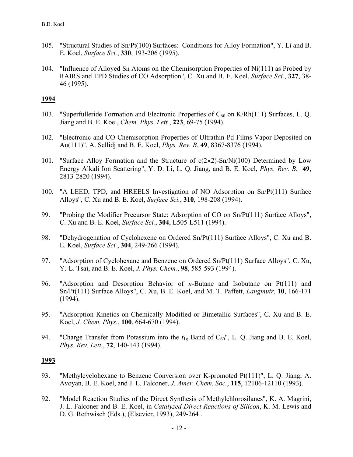- 105. "Structural Studies of Sn/Pt(100) Surfaces: Conditions for Alloy Formation", Y. Li and B. E. Koel, *Surface Sci.*, **330**, 193-206 (1995).
- 104. "Influence of Alloyed Sn Atoms on the Chemisorption Properties of Ni(111) as Probed by RAIRS and TPD Studies of CO Adsorption", C. Xu and B. E. Koel, *Surface Sci.*, **327**, 38- 46 (1995).

- 103. "Superfulleride Formation and Electronic Properties of  $C_{60}$  on K/Rh(111) Surfaces, L. Q. Jiang and B. E. Koel, *Chem. Phys. Lett.*, **223**, 69-75 (1994).
- 102. "Electronic and CO Chemisorption Properties of Ultrathin Pd Films Vapor-Deposited on Au(111)", A. Sellidj and B. E. Koel, *Phys. Rev. B*, **49**, 8367-8376 (1994).
- 101. "Surface Alloy Formation and the Structure of  $c(2\times2)$ -Sn/Ni(100) Determined by Low Energy Alkali Ion Scattering", Y. D. Li, L. Q. Jiang, and B. E. Koel, *Phys. Rev. B*, **49**, 2813-2820 (1994).
- 100. "A LEED, TPD, and HREELS Investigation of NO Adsorption on Sn/Pt(111) Surface Alloys", C. Xu and B. E. Koel, *Surface Sci.*, **310**, 198-208 (1994).
- 99. "Probing the Modifier Precursor State: Adsorption of CO on Sn/Pt(111) Surface Alloys", C. Xu and B. E. Koel, *Surface Sci.*, **304**, L505-L511 (1994).
- 98. "Dehydrogenation of Cyclohexene on Ordered Sn/Pt(111) Surface Alloys", C. Xu and B. E. Koel, *Surface Sci.*, **304**, 249-266 (1994).
- 97. "Adsorption of Cyclohexane and Benzene on Ordered Sn/Pt(111) Surface Alloys", C. Xu, Y.-L. Tsai, and B. E. Koel, *J. Phys. Chem.*, **98**, 585-593 (1994).
- 96. "Adsorption and Desorption Behavior of *n*-Butane and Isobutane on Pt(111) and Sn/Pt(111) Surface Alloys", C. Xu, B. E. Koel, and M. T. Paffett, *Langmuir*, **10**, 166-171 (1994).
- 95. "Adsorption Kinetics on Chemically Modified or Bimetallic Surfaces", C. Xu and B. E. Koel, *J. Chem. Phys.*, **100**, 664-670 (1994).
- 94. "Charge Transfer from Potassium into the  $t_{1g}$  Band of  $C_{60}$ ", L. Q. Jiang and B. E. Koel, *Phys. Rev. Lett.*, **72**, 140-143 (1994).

- 93. "Methylcyclohexane to Benzene Conversion over K-promoted Pt(111)", L. Q. Jiang, A. Avoyan, B. E. Koel, and J. L. Falconer, *J. Amer. Chem. Soc.*, **115**, 12106-12110 (1993).
- 92. "Model Reaction Studies of the Direct Synthesis of Methylchlorosilanes", K. A. Magrini, J. L. Falconer and B. E. Koel, in *Catalyzed Direct Reactions of Silicon*, K. M. Lewis and D. G. Rethwisch (Eds.), (Elsevier, 1993), 249-264 .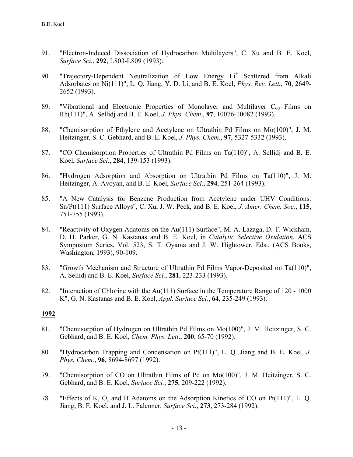- 91. "Electron-Induced Dissociation of Hydrocarbon Multilayers", C. Xu and B. E. Koel, *Surface Sci.*, **292**, L803-L809 (1993).
- 90. "Trajectory-Dependent Neutralization of Low Energy Li<sup>+</sup> Scattered from Alkali Adsorbates on Ni(111)", L. Q. Jiang, Y. D. Li, and B. E. Koel, *Phys. Rev. Lett.*, **70**, 2649- 2652 (1993).
- 89. "Vibrational and Electronic Properties of Monolayer and Multilayer  $C_{60}$  Films on Rh(111)", A. Sellidj and B. E. Koel, *J. Phys. Chem.*, **97**, 10076-10082 (1993).
- 88. "Chemisorption of Ethylene and Acetylene on Ultrathin Pd Films on Mo(100)", J. M. Heitzinger, S. C. Gebhard, and B. E. Koel, *J. Phys. Chem.*, **97**, 5327-5332 (1993).
- 87. "CO Chemisorption Properties of Ultrathin Pd Films on Ta(110)", A. Sellidj and B. E. Koel, *Surface Sci.*, **284**, 139-153 (1993).
- 86. "Hydrogen Adsorption and Absorption on Ultrathin Pd Films on Ta(110)", J. M. Heitzinger, A. Avoyan, and B. E. Koel, *Surface Sci.*, **294**, 251-264 (1993).
- 85. "A New Catalysis for Benzene Production from Acetylene under UHV Conditions: Sn/Pt(111) Surface Alloys", C. Xu, J. W. Peck, and B. E. Koel, *J. Amer. Chem. Soc.*, **115**, 751-755 (1993).
- 84. "Reactivity of Oxygen Adatoms on the Au(111) Surface", M. A. Lazaga, D. T. Wickham, D. H. Parker, G. N. Kastanas and B. E. Koel, in *Catalytic Selective Oxidation*, ACS Symposium Series, Vol. 523, S. T. Oyama and J. W. Hightower, Eds., (ACS Books, Washington, 1993), 90-109.
- 83. "Growth Mechanism and Structure of Ultrathin Pd Films Vapor-Deposited on Ta(110)", A. Sellidj and B. E. Koel, *Surface Sci.*, **281**, 223-233 (1993).
- 82. "Interaction of Chlorine with the Au(111) Surface in the Temperature Range of 120 1000 K", G. N. Kastanas and B. E. Koel, *Appl. Surface Sci.*, **64**, 235-249 (1993).

- 81. "Chemisorption of Hydrogen on Ultrathin Pd Films on Mo(100)", J. M. Heitzinger, S. C. Gebhard, and B. E. Koel, *Chem. Phys. Lett*., **200**, 65-70 (1992).
- 80. "Hydrocarbon Trapping and Condensation on Pt(111)", L. Q. Jiang and B. E. Koel, *J. Phys. Chem.*, **96**, 8694-8697 (1992).
- 79. "Chemisorption of CO on Ultrathin Films of Pd on Mo(100)", J. M. Heitzinger, S. C. Gebhard, and B. E. Koel, *Surface Sci.*, **275**, 209-222 (1992).
- 78. "Effects of K, O, and H Adatoms on the Adsorption Kinetics of CO on Pt(111)", L. Q. Jiang, B. E. Koel, and J. L. Falconer, *Surface Sci.*, **273**, 273-284 (1992).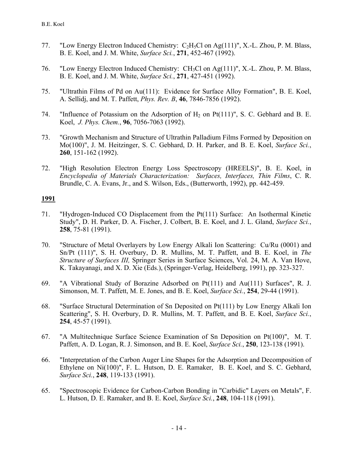- 77. "Low Energy Electron Induced Chemistry:  $C_2H_5Cl$  on Ag(111)", X.-L. Zhou, P. M. Blass, B. E. Koel, and J. M. White, *Surface Sci.*, **271**, 452-467 (1992).
- 76. "Low Energy Electron Induced Chemistry: CH3Cl on Ag(111)", X.-L. Zhou, P. M. Blass, B. E. Koel, and J. M. White, *Surface Sci.*, **271**, 427-451 (1992).
- 75. "Ultrathin Films of Pd on Au(111): Evidence for Surface Alloy Formation", B. E. Koel, A. Sellidj, and M. T. Paffett, *Phys. Rev. B*, **46**, 7846-7856 (1992).
- 74. "Influence of Potassium on the Adsorption of  $H_2$  on Pt(111)", S. C. Gebhard and B. E. Koel, *J. Phys. Chem.*, **96**, 7056-7063 (1992).
- 73. "Growth Mechanism and Structure of Ultrathin Palladium Films Formed by Deposition on Mo(100)", J. M. Heitzinger, S. C. Gebhard, D. H. Parker, and B. E. Koel, *Surface Sci.*, **260**, 151-162 (1992).
- 72. "High Resolution Electron Energy Loss Spectroscopy (HREELS)", B. E. Koel, in *Encyclopedia of Materials Characterization: Surfaces, Interfaces, Thin Films*, C. R. Brundle, C. A. Evans, Jr., and S. Wilson, Eds., (Butterworth, 1992), pp. 442-459.

- 71. "Hydrogen-Induced CO Displacement from the Pt(111) Surface: An Isothermal Kinetic Study", D. H. Parker, D. A. Fischer, J. Colbert, B. E. Koel, and J. L. Gland, *Surface Sci.*, **258**, 75-81 (1991).
- 70. "Structure of Metal Overlayers by Low Energy Alkali Ion Scattering: Cu/Ru (0001) and Sn/Pt (111)", S. H. Overbury, D. R. Mullins, M. T. Paffett, and B. E. Koel, in *The Structure of Surfaces III,* Springer Series in Surface Sciences, Vol. 24, M. A. Van Hove, K. Takayanagi, and X. D. Xie (Eds.), (Springer-Verlag, Heidelberg, 1991), pp. 323-327.
- 69. "A Vibrational Study of Borazine Adsorbed on Pt(111) and Au(111) Surfaces", R. J. Simonson, M. T. Paffett, M. E. Jones, and B. E. Koel, *Surface Sci.*, **254**, 29-44 (1991).
- 68. "Surface Structural Determination of Sn Deposited on Pt(111) by Low Energy Alkali Ion Scattering", S. H. Overbury, D. R. Mullins, M. T. Paffett, and B. E. Koel, *Surface Sci.*, **254**, 45-57 (1991).
- 67. "A Multitechnique Surface Science Examination of Sn Deposition on Pt(100)", M. T. Paffett, A. D. Logan, R. J. Simonson, and B. E. Koel, *Surface Sci.*, **250**, 123-138 (1991).
- 66. "Interpretation of the Carbon Auger Line Shapes for the Adsorption and Decomposition of Ethylene on Ni(100)", F. L. Hutson, D. E. Ramaker, B. E. Koel, and S. C. Gebhard, *Surface Sci.*, **248**, 119-133 (1991).
- 65. "Spectroscopic Evidence for Carbon-Carbon Bonding in "Carbidic" Layers on Metals", F. L. Hutson, D. E. Ramaker, and B. E. Koel, *Surface Sci.*, **248**, 104-118 (1991).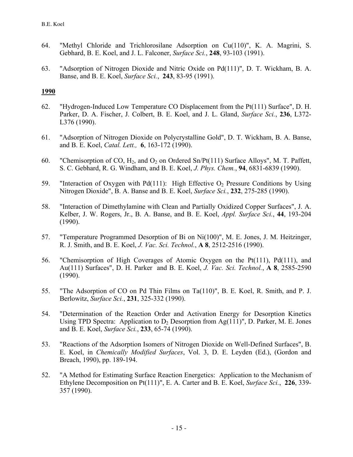- 64. "Methyl Chloride and Trichlorosilane Adsorption on Cu(110)", K. A. Magrini, S. Gebhard, B. E. Koel, and J. L. Falconer, *Surface Sci.*, **248**, 93-103 (1991).
- 63. "Adsorption of Nitrogen Dioxide and Nitric Oxide on Pd(111)", D. T. Wickham, B. A. Banse, and B. E. Koel, *Surface Sci.*, **243**, 83-95 (1991).

- 62. "Hydrogen-Induced Low Temperature CO Displacement from the Pt(111) Surface", D. H. Parker, D. A. Fischer, J. Colbert, B. E. Koel, and J. L. Gland, *Surface Sci.*, **236**, L372- L376 (1990).
- 61. "Adsorption of Nitrogen Dioxide on Polycrystalline Gold", D. T. Wickham, B. A. Banse, and B. E. Koel, *Catal. Lett.,* **6**, 163-172 (1990).
- 60. "Chemisorption of CO,  $H_2$ , and  $O_2$  on Ordered Sn/Pt(111) Surface Alloys", M. T. Paffett, S. C. Gebhard, R. G. Windham, and B. E. Koel, *J. Phys. Chem.*, **94**, 6831-6839 (1990).
- 59. "Interaction of Oxygen with  $Pd(111)$ : High Effective O<sub>2</sub> Pressure Conditions by Using Nitrogen Dioxide", B. A. Banse and B. E. Koel, *Surface Sci.*, **232**, 275-285 (1990).
- 58. "Interaction of Dimethylamine with Clean and Partially Oxidized Copper Surfaces", J. A. Kelber, J. W. Rogers, Jr., B. A. Banse, and B. E. Koel, *Appl. Surface Sci.*, **44**, 193-204 (1990).
- 57. "Temperature Programmed Desorption of Bi on Ni(100)", M. E. Jones, J. M. Heitzinger, R. J. Smith, and B. E. Koel, *J. Vac. Sci. Technol.*, **A 8**, 2512-2516 (1990).
- 56. "Chemisorption of High Coverages of Atomic Oxygen on the Pt(111), Pd(111), and Au(111) Surfaces", D. H. Parker and B. E. Koel, *J. Vac. Sci. Technol.*, **A 8**, 2585-2590 (1990).
- 55. "The Adsorption of CO on Pd Thin Films on Ta(110)", B. E. Koel, R. Smith, and P. J. Berlowitz, *Surface Sci.*, **231**, 325-332 (1990).
- 54. "Determination of the Reaction Order and Activation Energy for Desorption Kinetics Using TPD Spectra: Application to  $D_2$  Desorption from Ag(111)", D. Parker, M. E. Jones and B. E. Koel, *Surface Sci.*, **233**, 65-74 (1990).
- 53. "Reactions of the Adsorption Isomers of Nitrogen Dioxide on Well-Defined Surfaces", B. E. Koel, in *Chemically Modified Surfaces*, Vol. 3, D. E. Leyden (Ed.), (Gordon and Breach, 1990), pp. 189-194.
- 52. "A Method for Estimating Surface Reaction Energetics: Application to the Mechanism of Ethylene Decomposition on Pt(111)", E. A. Carter and B. E. Koel, *Surface Sci.*, **226**, 339- 357 (1990).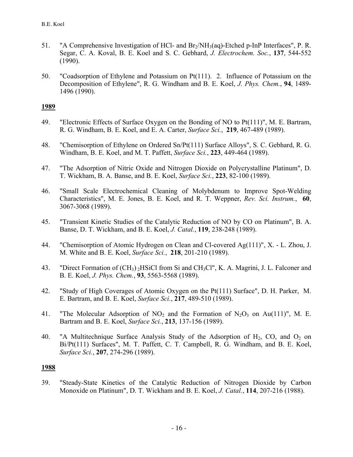- 51. "A Comprehensive Investigation of HCl- and  $Br_2/NH_3(aq)$ -Etched p-InP Interfaces", P. R. Segar, C. A. Koval, B. E. Koel and S. C. Gebhard, *J. Electrochem. Soc.*, **137**, 544-552 (1990).
- 50. "Coadsorption of Ethylene and Potassium on Pt(111). 2. Influence of Potassium on the Decomposition of Ethylene", R. G. Windham and B. E. Koel, *J. Phys. Chem.*, **94**, 1489- 1496 (1990).

- 49. "Electronic Effects of Surface Oxygen on the Bonding of NO to Pt(111)", M. E. Bartram, R. G. Windham, B. E. Koel, and E. A. Carter, *Surface Sci.*, **219**, 467-489 (1989).
- 48. "Chemisorption of Ethylene on Ordered Sn/Pt(111) Surface Alloys", S. C. Gebhard, R. G. Windham, B. E. Koel, and M. T. Paffett, *Surface Sci.*, **223**, 449-464 (1989).
- 47. "The Adsorption of Nitric Oxide and Nitrogen Dioxide on Polycrystalline Platinum", D. T. Wickham, B. A. Banse, and B. E. Koel, *Surface Sci.*, **223**, 82-100 (1989).
- 46. "Small Scale Electrochemical Cleaning of Molybdenum to Improve Spot-Welding Characteristics", M. E. Jones, B. E. Koel, and R. T. Weppner, *Rev. Sci. Instrum.*, **60**, 3067-3068 (1989).
- 45. "Transient Kinetic Studies of the Catalytic Reduction of NO by CO on Platinum", B. A. Banse, D. T. Wickham, and B. E. Koel, *J. Catal.*, **119**, 238-248 (1989).
- 44. "Chemisorption of Atomic Hydrogen on Clean and Cl-covered Ag(111)", X. L. Zhou, J. M. White and B. E. Koel, *Surface Sci.*, **218**, 201-210 (1989).
- 43. "Direct Formation of  $(CH_3)$  <sub>2</sub>HSiCl from Si and CH<sub>3</sub>Cl", K. A. Magrini, J. L. Falconer and B. E. Koel, *J. Phys. Chem.*, **93**, 5563-5568 (1989).
- 42. "Study of High Coverages of Atomic Oxygen on the Pt(111) Surface", D. H. Parker, M. E. Bartram, and B. E. Koel, *Surface Sci.*, **217**, 489-510 (1989).
- 41. "The Molecular Adsorption of  $NO<sub>2</sub>$  and the Formation of  $N<sub>2</sub>O<sub>3</sub>$  on Au(111)", M. E. Bartram and B. E. Koel, *Surface Sci.*, **213**, 137-156 (1989).
- 40. "A Multitechnique Surface Analysis Study of the Adsorption of  $H_2$ , CO, and  $O_2$  on Bi/Pt(111) Surfaces", M. T. Paffett, C. T. Campbell, R. G. Windham, and B. E. Koel, *Surface Sci.*, **207**, 274-296 (1989).

### **1988**

39. "Steady-State Kinetics of the Catalytic Reduction of Nitrogen Dioxide by Carbon Monoxide on Platinum", D. T. Wickham and B. E. Koel, *J. Catal.*, **114**, 207-216 (1988).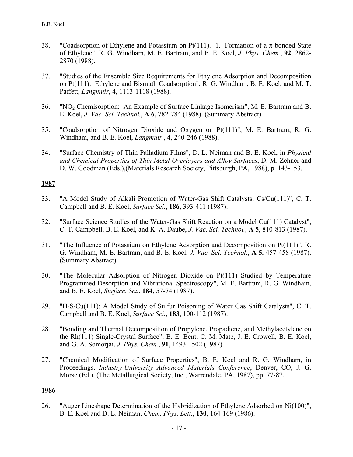- 38. "Coadsorption of Ethylene and Potassium on Pt(111). 1. Formation of a  $\pi$ -bonded State of Ethylene", R. G. Windham, M. E. Bartram, and B. E. Koel, *J. Phys. Chem.*, **92**, 2862- 2870 (1988).
- 37. "Studies of the Ensemble Size Requirements for Ethylene Adsorption and Decomposition on Pt(111): Ethylene and Bismuth Coadsorption", R. G. Windham, B. E. Koel, and M. T. Paffett, *Langmuir*, **4**, 1113-1118 (1988).
- 36. "NO2 Chemisorption: An Example of Surface Linkage Isomerism", M. E. Bartram and B. E. Koel, *J. Vac. Sci. Technol.*, **A 6**, 782-784 (1988). (Summary Abstract)
- 35. "Coadsorption of Nitrogen Dioxide and Oxygen on Pt(111)", M. E. Bartram, R. G. Windham, and B. E. Koel, *Langmuir* , **4**, 240-246 (1988).
- 34. "Surface Chemistry of Thin Palladium Films", D. L. Neiman and B. E. Koel, in *Physical and Chemical Properties of Thin Metal Overlayers and Alloy Surfaces*, D. M. Zehner and D. W. Goodman (Eds.),(Materials Research Society, Pittsburgh, PA, 1988), p. 143-153.

- 33. "A Model Study of Alkali Promotion of Water-Gas Shift Catalysts: Cs/Cu(111)", C. T. Campbell and B. E. Koel, *Surface Sci.*, **186**, 393-411 (1987).
- 32. "Surface Science Studies of the Water-Gas Shift Reaction on a Model Cu(111) Catalyst", C. T. Campbell, B. E. Koel, and K. A. Daube, *J. Vac. Sci. Technol.*, **A 5**, 810-813 (1987).
- 31. "The Influence of Potassium on Ethylene Adsorption and Decomposition on Pt(111)", R. G. Windham, M. E. Bartram, and B. E. Koel, *J. Vac. Sci. Technol.*, **A 5**, 457-458 (1987). (Summary Abstract)
- 30. "The Molecular Adsorption of Nitrogen Dioxide on Pt(111) Studied by Temperature Programmed Desorption and Vibrational Spectroscopy", M. E. Bartram, R. G. Windham, and B. E. Koel, *Surface. Sci.*, **184**, 57-74 (1987).
- 29. "H2S/Cu(111): A Model Study of Sulfur Poisoning of Water Gas Shift Catalysts", C. T. Campbell and B. E. Koel, *Surface Sci.*, **183**, 100-112 (1987).
- 28. "Bonding and Thermal Decomposition of Propylene, Propadiene, and Methylacetylene on the Rh(111) Single-Crystal Surface", B. E. Bent, C. M. Mate, J. E. Crowell, B. E. Koel, and G. A. Somorjai, *J. Phys. Chem.*, **91**, 1493-1502 (1987).
- 27. "Chemical Modification of Surface Properties", B. E. Koel and R. G. Windham, in Proceedings, *Industry-University Advanced Materials Conference*, Denver, CO, J. G. Morse (Ed.), (The Metallurgical Society, Inc., Warrendale, PA, 1987), pp. 77-87.

### **1986**

26. "Auger Lineshape Determination of the Hybridization of Ethylene Adsorbed on Ni(100)", B. E. Koel and D. L. Neiman, *Chem. Phys. Lett.*, **130**, 164-169 (1986).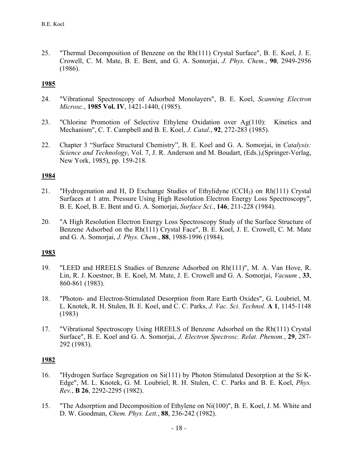25. "Thermal Decomposition of Benzene on the Rh(111) Crystal Surface", B. E. Koel, J. E. Crowell, C. M. Mate, B. E. Bent, and G. A. Somorjai, *J. Phys. Chem.*, **90**, 2949-2956 (1986).

# **1985**

- 24. "Vibrational Spectroscopy of Adsorbed Monolayers", B. E. Koel, *Scanning Electron Microsc.*, **1985 Vol. IV**, 1421-1440, (1985).
- 23. "Chlorine Promotion of Selective Ethylene Oxidation over Ag(110): Kinetics and Mechanism", C. T. Campbell and B. E. Koel, *J. Catal.*, **92**, 272-283 (1985).
- 22. Chapter 3 "Surface Structural Chemistry", B. E. Koel and G. A. Somorjai, in *Catalysis: Science and Technology*, Vol. 7, J. R. Anderson and M. Boudart, (Eds.),(Springer-Verlag, New York, 1985), pp. 159-218.

# **1984**

- 21. "Hydrogenation and H, D Exchange Studies of Ethylidyne (CCH3) on Rh(111) Crystal Surfaces at 1 atm. Pressure Using High Resolution Electron Energy Loss Spectroscopy", B. E. Koel, B. E. Bent and G. A. Somorjai, *Surface Sci.*, **146**, 211-228 (1984).
- 20. "A High Resolution Electron Energy Loss Spectroscopy Study of the Surface Structure of Benzene Adsorbed on the Rh(111) Crystal Face", B. E. Koel, J. E. Crowell, C. M. Mate and G. A. Somorjai, *J. Phys. Chem.*, **88**, 1988-1996 (1984).

# **1983**

- 19. "LEED and HREELS Studies of Benzene Adsorbed on Rh(111)", M. A. Van Hove, R. Lin, R. J. Koestner, B. E. Koel, M. Mate, J. E. Crowell and G. A. Somorjai, *Vacuum* , **33**, 860-861 (1983).
- 18. "Photon- and Electron-Stimulated Desorption from Rare Earth Oxides", G. Loubriel, M. L. Knotek, R. H. Stulen, B. E. Koel, and C. C. Parks, *J. Vac. Sci. Technol.* **A 1**, 1145-1148 (1983)
- 17. "Vibrational Spectroscopy Using HREELS of Benzene Adsorbed on the Rh(111) Crystal Surface", B. E. Koel and G. A. Somorjai, *J. Electron Spectrosc. Relat. Phenom.*, **29**, 287- 292 (1983).

- 16. "Hydrogen Surface Segregation on Si(111) by Photon Stimulated Desorption at the Si K-Edge", M. L. Knotek, G. M. Loubriel, R. H. Stulen, C. C. Parks and B. E. Koel, *Phys. Rev.*, **B 26**, 2292-2295 (1982).
- 15. "The Adsorption and Decomposition of Ethylene on Ni(100)", B. E. Koel, J. M. White and D. W. Goodman, *Chem. Phys. Lett.*, **88**, 236-242 (1982).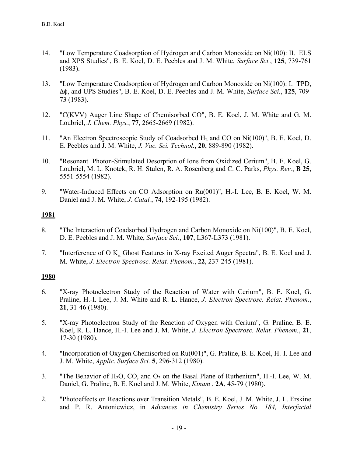- 14. "Low Temperature Coadsorption of Hydrogen and Carbon Monoxide on Ni(100): II. ELS and XPS Studies", B. E. Koel, D. E. Peebles and J. M. White, *Surface Sci.*, **125**, 739-761 (1983).
- 13. "Low Temperature Coadsorption of Hydrogen and Carbon Monoxide on Ni(100): I. TPD, Δφ, and UPS Studies", B. E. Koel, D. E. Peebles and J. M. White, *Surface Sci.*, **125**, 709- 73 (1983).
- 12. "C(KVV) Auger Line Shape of Chemisorbed CO", B. E. Koel, J. M. White and G. M. Loubriel, *J. Chem. Phys.*, **77**, 2665-2669 (1982).
- 11. "An Electron Spectroscopic Study of Coadsorbed H2 and CO on Ni(100)", B. E. Koel, D. E. Peebles and J. M. White, *J. Vac. Sci. Technol.*, **20**, 889-890 (1982).
- 10. "Resonant Photon-Stimulated Desorption of Ions from Oxidized Cerium", B. E. Koel, G. Loubriel, M. L. Knotek, R. H. Stulen, R. A. Rosenberg and C. C. Parks, *Phys. Rev.*, **B 25**, 5551-5554 (1982).
- 9. "Water-Induced Effects on CO Adsorption on Ru(001)", H.-I. Lee, B. E. Koel, W. M. Daniel and J. M. White, *J. Catal.*, **74**, 192-195 (1982).

- 8. "The Interaction of Coadsorbed Hydrogen and Carbon Monoxide on Ni(100)", B. E. Koel, D. E. Peebles and J. M. White, *Surface Sci.*, **107**, L367-L373 (1981).
- 7. "Interference of O  $K_{\alpha}$  Ghost Features in X-ray Excited Auger Spectra", B. E. Koel and J. M. White, *J. Electron Spectrosc. Relat. Phenom.*, **22**, 237-245 (1981).

- 6. "X-ray Photoelectron Study of the Reaction of Water with Cerium", B. E. Koel, G. Praline, H.-I. Lee, J. M. White and R. L. Hance, *J. Electron Spectrosc. Relat. Phenom.*, **21**, 31-46 (1980).
- 5. "X-ray Photoelectron Study of the Reaction of Oxygen with Cerium", G. Praline, B. E. Koel, R. L. Hance, H.-I. Lee and J. M. White, *J. Electron Spectrosc. Relat. Phenom.*, **21**, 17-30 (1980).
- 4. "Incorporation of Oxygen Chemisorbed on Ru(001)", G. Praline, B. E. Koel, H.-I. Lee and J. M. White, *Applic. Surface Sci.* **5**, 296-312 (1980).
- 3. "The Behavior of  $H_2O$ , CO, and  $O_2$  on the Basal Plane of Ruthenium", H.-I. Lee, W. M. Daniel, G. Praline, B. E. Koel and J. M. White, *Kinam* , **2A**, 45-79 (1980).
- 2. "Photoeffects on Reactions over Transition Metals", B. E. Koel, J. M. White, J. L. Erskine and P. R. Antoniewicz, in *Advances in Chemistry Series No. 184, Interfacial*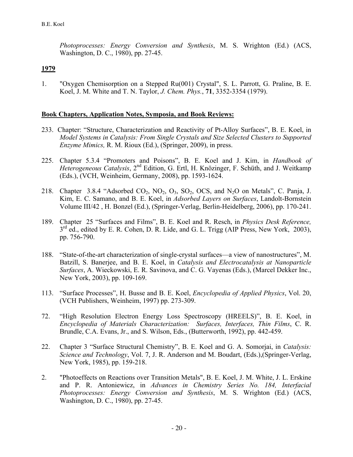*Photoprocesses: Energy Conversion and Synthesis*, M. S. Wrighton (Ed.) (ACS, Washington, D. C., 1980), pp. 27-45.

## **1979**

1. "Oxygen Chemisorption on a Stepped Ru(001) Crystal", S. L. Parrott, G. Praline, B. E. Koel, J. M. White and T. N. Taylor, *J. Chem. Phys.*, **71**, 3352-3354 (1979).

#### **Book Chapters, Application Notes, Symposia, and Book Reviews:**

- 233. Chapter: "Structure, Characterization and Reactivity of Pt-Alloy Surfaces", B. E. Koel, in *Model Systems in Catalysis: From Single Crystals and Size Selected Clusters to Supported Enzyme Mimics,* R. M. Rioux (Ed.), (Springer, 2009), in press.
- 225. Chapter 5.3.4 "Promoters and Poisons", B. E. Koel and J. Kim, in *Handbook of Heterogeneous Catalysis*, 2nd Edition, G. Ertl, H. Knözinger, F. Schüth, and J. Weitkamp (Eds.), (VCH, Weinheim, Germany, 2008), pp. 1593-1624.
- 218. Chapter 3.8.4 "Adsorbed  $CO_2$ ,  $NO_2$ ,  $O_3$ ,  $SO_2$ ,  $OCS$ , and  $N_2O$  on Metals", C. Panja, J. Kim, E. C. Samano, and B. E. Koel, in *Adsorbed Layers on Surfaces*, Landolt-Bornstein Volume III/42 , H. Bonzel (Ed.), (Springer-Verlag, Berlin-Heidelberg, 2006), pp. 170-241.
- 189. Chapter 25 "Surfaces and Films", B. E. Koel and R. Resch, in *Physics Desk Reference,*  $3^{rd}$  ed., edited by E. R. Cohen, D. R. Lide, and G. L. Trigg (AIP Press, New York, 2003), pp. 756-790.
- 188. "State-of-the-art characterization of single-crystal surfaces—a view of nanostructures", M. Batzill, S. Banerjee, and B. E. Koel, in *Catalysis and Electrocatalysis at Nanoparticle Surfaces*, A. Wieckowski, E. R. Savinova, and C. G. Vayenas (Eds.), (Marcel Dekker Inc., New York, 2003), pp. 109-169.
- 113. "Surface Processes", H. Busse and B. E. Koel, *Encyclopedia of Applied Physics*, Vol. 20, (VCH Publishers, Weinheim, 1997) pp. 273-309.
- 72. "High Resolution Electron Energy Loss Spectroscopy (HREELS)", B. E. Koel, in *Encyclopedia of Materials Characterization: Surfaces, Interfaces, Thin Films*, C. R. Brundle, C.A. Evans, Jr., and S. Wilson, Eds., (Butterworth, 1992), pp. 442-459.
- 22. Chapter 3 "Surface Structural Chemistry", B. E. Koel and G. A. Somorjai, in *Catalysis: Science and Technology*, Vol. 7, J. R. Anderson and M. Boudart, (Eds.),(Springer-Verlag, New York, 1985), pp. 159-218.
- 2. "Photoeffects on Reactions over Transition Metals", B. E. Koel, J. M. White, J. L. Erskine and P. R. Antoniewicz, in *Advances in Chemistry Series No. 184, Interfacial Photoprocesses: Energy Conversion and Synthesis*, M. S. Wrighton (Ed.) (ACS, Washington, D. C., 1980), pp. 27-45.